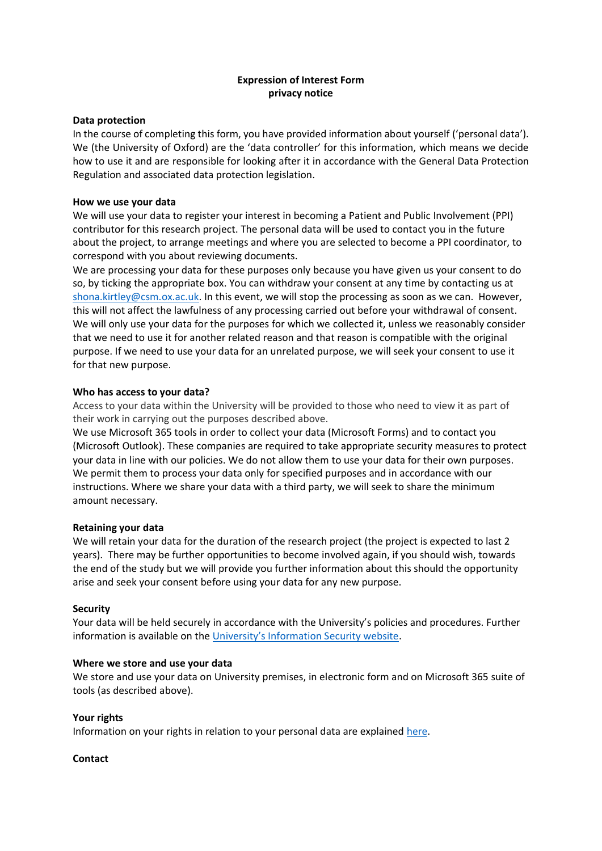# **Expression of Interest Form privacy notice**

#### **Data protection**

In the course of completing this form, you have provided information about yourself ('personal data'). We (the University of Oxford) are the 'data controller' for this information, which means we decide how to use it and are responsible for looking after it in accordance with the General Data Protection Regulation and associated data protection legislation.

#### **How we use your data**

We will use your data to register your interest in becoming a Patient and Public Involvement (PPI) contributor for this research project. The personal data will be used to contact you in the future about the project, to arrange meetings and where you are selected to become a PPI coordinator, to correspond with you about reviewing documents.

We are processing your data for these purposes only because you have given us your consent to do so, by ticking the appropriate box. You can withdraw your consent at any time by contacting us at [shona.kirtley@csm.ox.ac.uk.](mailto:shona.kirtley@csm.ox.ac.uk) In this event, we will stop the processing as soon as we can. However, this will not affect the lawfulness of any processing carried out before your withdrawal of consent. We will only use your data for the purposes for which we collected it, unless we reasonably consider that we need to use it for another related reason and that reason is compatible with the original purpose. If we need to use your data for an unrelated purpose, we will seek your consent to use it for that new purpose.

#### **Who has access to your data?**

Access to your data within the University will be provided to those who need to view it as part of their work in carrying out the purposes described above.

We use Microsoft 365 tools in order to collect your data (Microsoft Forms) and to contact you (Microsoft Outlook). These companies are required to take appropriate security measures to protect your data in line with our policies. We do not allow them to use your data for their own purposes. We permit them to process your data only for specified purposes and in accordance with our instructions. Where we share your data with a third party, we will seek to share the minimum amount necessary.

## **Retaining your data**

We will retain your data for the duration of the research project (the project is expected to last 2 years). There may be further opportunities to become involved again, if you should wish, towards the end of the study but we will provide you further information about this should the opportunity arise and seek your consent before using your data for any new purpose.

#### **Security**

Your data will be held securely in accordance with the University's policies and procedures. Further information is available on the [University's Information Security website](https://www.infosec.ox.ac.uk/).

## **Where we store and use your data**

We store and use your data on University premises, in electronic form and on Microsoft 365 suite of tools (as described above).

## **Your rights**

Information on your rights in relation to your personal data are explained [here.](http://www.admin.ox.ac.uk/councilsec/compliance/gdpr/individualrights/)

#### **Contact**